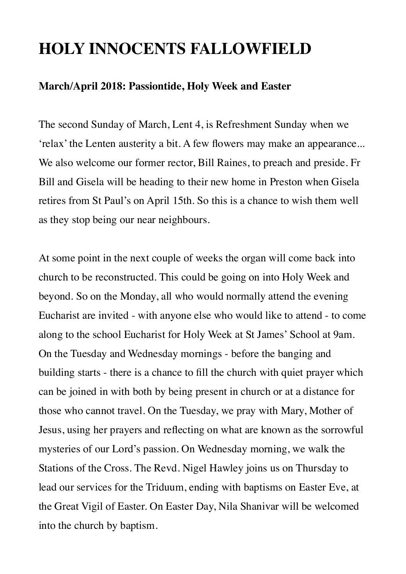# **HOLY INNOCENTS FALLOWFIELD**

#### **March/April 2018: Passiontide, Holy Week and Easter**

The second Sunday of March, Lent 4, is Refreshment Sunday when we 'relax' the Lenten austerity a bit. A few flowers may make an appearance... We also welcome our former rector, Bill Raines, to preach and preside. Fr Bill and Gisela will be heading to their new home in Preston when Gisela retires from St Paul's on April 15th. So this is a chance to wish them well as they stop being our near neighbours.

At some point in the next couple of weeks the organ will come back into church to be reconstructed. This could be going on into Holy Week and beyond. So on the Monday, all who would normally attend the evening Eucharist are invited - with anyone else who would like to attend - to come along to the school Eucharist for Holy Week at St James' School at 9am. On the Tuesday and Wednesday mornings - before the banging and building starts - there is a chance to fill the church with quiet prayer which can be joined in with both by being present in church or at a distance for those who cannot travel. On the Tuesday, we pray with Mary, Mother of Jesus, using her prayers and reflecting on what are known as the sorrowful mysteries of our Lord's passion. On Wednesday morning, we walk the Stations of the Cross. The Revd. Nigel Hawley joins us on Thursday to lead our services for the Triduum, ending with baptisms on Easter Eve, at the Great Vigil of Easter. On Easter Day, Nila Shanivar will be welcomed into the church by baptism.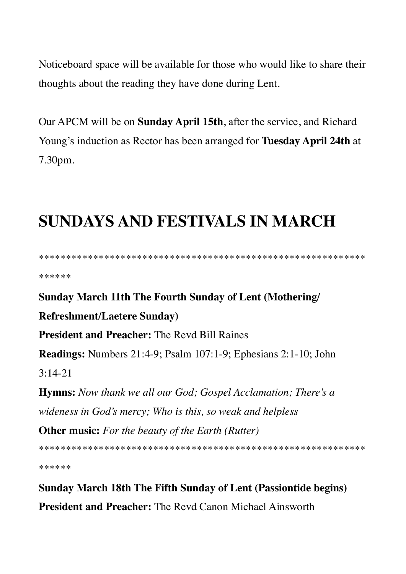Noticeboard space will be available for those who would like to share their thoughts about the reading they have done during Lent.

Our APCM will be on **Sunday April 15th**, after the service, and Richard Young's induction as Rector has been arranged for Tuesday April 24th at 7.30pm.

# **SUNDAYS AND FESTIVALS IN MARCH**

\*\*\*\*\*\*

## **Sunday March 11th The Fourth Sunday of Lent (Mothering/**

#### **Refreshment/Laetere Sunday)**

**President and Preacher:** The Revd Bill Raines

**Readings:** Numbers  $21:4-9$ ; Psalm  $107:1-9$ ; Ephesians  $2:1-10$ ; John

 $3.14 - 21$ 

**Hymns:** Now thank we all our God; Gospel Acclamation; There's a wideness in God's mercy; Who is this, so weak and helpless

**Other music:** For the beauty of the Earth (Rutter)

\*\*\*\*\*\*

**Sunday March 18th The Fifth Sunday of Lent (Passiontide begins) President and Preacher:** The Revd Canon Michael Ainsworth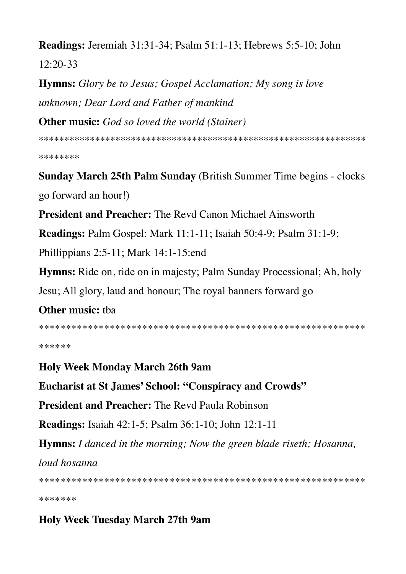Readings: Jeremiah 31:31-34; Psalm 51:1-13; Hebrews 5:5-10; John  $12:20-33$ 

**Hymns:** Glory be to Jesus; Gospel Acclamation; My song is love unknown; Dear Lord and Father of mankind **Other music:** God so loved the world (Stainer)

\*\*\*\*\*\*\*\*

**Sunday March 25th Palm Sunday (British Summer Time begins - clocks)** go forward an hour!)

**President and Preacher:** The Revd Canon Michael Ainsworth

**Readings:** Palm Gospel: Mark 11:1-11; Isaiah 50:4-9; Psalm 31:1-9;

Phillippians 2:5-11; Mark 14:1-15:end

**Hymns:** Ride on, ride on in majesty; Palm Sunday Processional; Ah, holy

Jesu; All glory, laud and honour; The royal banners forward go

## **Other music: that**

\*\*\*\*\*\*

## **Holy Week Monday March 26th 9am**

**Eucharist at St James' School: "Conspiracy and Crowds"** 

**President and Preacher:** The Revd Paula Robinson

**Readings:** Isaiah 42:1-5; Psalm 36:1-10; John 12:1-11

**Hymns:** I danced in the morning; Now the green blade riseth; Hosanna,

loud hosanna

\*\*\*\*\*\*\*

## **Holy Week Tuesday March 27th 9am**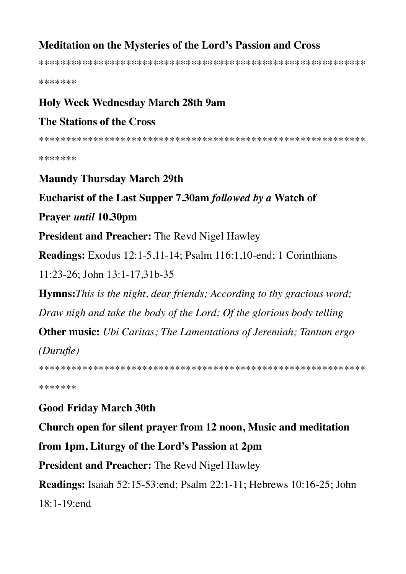## Meditation on the Mysteries of the Lord's Passion and Cross

\*\*\*\*\*\*\*

#### **Holy Week Wednesday March 28th 9am**

### **The Stations of the Cross**

\*\*\*\*\*\*\*

#### **Maundy Thursday March 29th**

#### Eucharist of the Last Supper 7.30am followed by a Watch of

#### Prayer *until* 10.30pm

**President and Preacher:** The Revd Nigel Hawley

**Readings:** Exodus 12:1-5,11-14; Psalm 116:1,10-end; 1 Corinthians

11:23-26; John 13:1-17,31b-35

**Hymns:** This is the night, dear friends; According to thy gracious word;

Draw nigh and take the body of the Lord; Of the glorious body telling

**Other music:** Ubi Caritas: The Lamentations of Jeremiah: Tantum ergo

 $(Durufle)$ 

\*\*\*\*\*\*\*

## **Good Friday March 30th**

Church open for silent prayer from 12 noon, Music and meditation

## from 1pm, Liturgy of the Lord's Passion at 2pm

**President and Preacher:** The Revd Nigel Hawley

**Readings:** Isaiah 52:15-53:end; Psalm 22:1-11; Hebrews 10:16-25; John  $18:1-19$ :end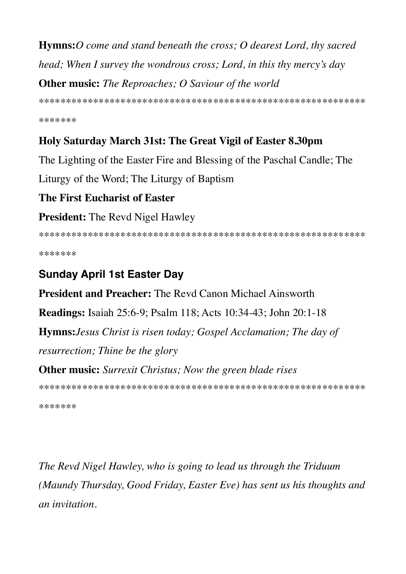**Hymns:** O come and stand beneath the cross; O dearest Lord, thy sacred head; When I survey the wondrous cross; Lord, in this thy mercy's day **Other music:** The Reproaches; O Saviour of the world

\*\*\*\*\*\*\*

## Holy Saturday March 31st: The Great Vigil of Easter 8.30pm

The Lighting of the Easter Fire and Blessing of the Paschal Candle; The

Liturgy of the Word; The Liturgy of Baptism

## The First Eucharist of Easter

## **President:** The Revd Nigel Hawley

\*\*\*\*\*\*\*

# **Sunday April 1st Easter Day**

**President and Preacher:** The Revd Canon Michael Ainsworth

**Readings:** Isaiah 25:6-9; Psalm 118; Acts 10:34-43; John 20:1-18

**Hymns:** Jesus Christ is risen today; Gospel Acclamation; The day of

resurrection; Thine be the glory

**Other music:** Surrexit Christus; Now the green blade rises

\*\*\*\*\*\*\*

The Revd Nigel Hawley, who is going to lead us through the Triduum (Maundy Thursday, Good Friday, Easter Eve) has sent us his thoughts and an invitation.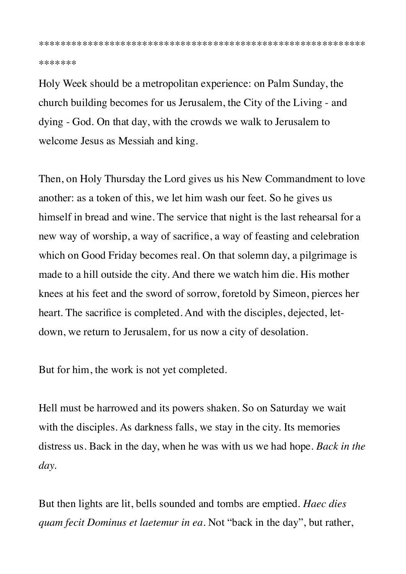\*\*\*\*\*\*\*

Holy Week should be a metropolitan experience: on Palm Sunday, the church building becomes for us Jerusalem, the City of the Living - and dying - God. On that day, with the crowds we walk to Jerusalem to welcome Jesus as Messiah and king.

Then, on Holy Thursday the Lord gives us his New Commandment to love another: as a token of this, we let him wash our feet. So he gives us himself in bread and wine. The service that night is the last rehearsal for a new way of worship, a way of sacrifice, a way of feasting and celebration which on Good Friday becomes real. On that solemn day, a pilgrimage is made to a hill outside the city. And there we watch him die. His mother knees at his feet and the sword of sorrow, foretold by Simeon, pierces her heart. The sacrifice is completed. And with the disciples, dejected, letdown, we return to Jerusalem, for us now a city of desolation.

But for him, the work is not yet completed.

Hell must be harrowed and its powers shaken. So on Saturday we wait with the disciples. As darkness falls, we stay in the city. Its memories distress us. Back in the day, when he was with us we had hope. *Back in the day.*

But then lights are lit, bells sounded and tombs are emptied. *Haec dies quam fecit Dominus et laetemur in ea.* Not "back in the day", but rather,